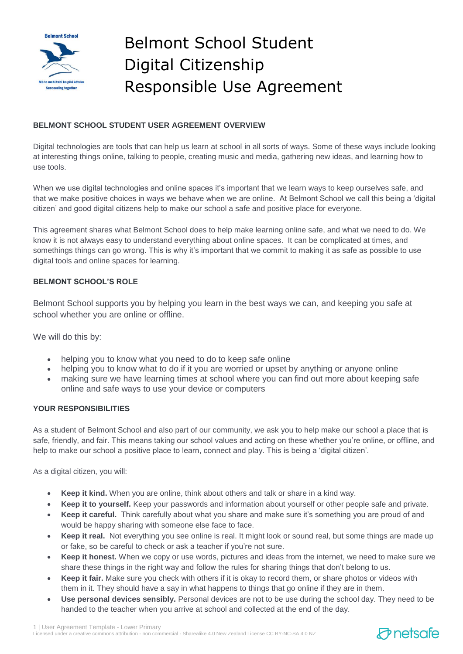

# Belmont School Student Digital Citizenship Responsible Use Agreement

## **BELMONT SCHOOL STUDENT USER AGREEMENT OVERVIEW**

Digital technologies are tools that can help us learn at school in all sorts of ways. Some of these ways include looking at interesting things online, talking to people, creating music and media, gathering new ideas, and learning how to use tools.

When we use digital technologies and online spaces it's important that we learn ways to keep ourselves safe, and that we make positive choices in ways we behave when we are online. At Belmont School we call this being a 'digital citizen' and good digital citizens help to make our school a safe and positive place for everyone.

This agreement shares what Belmont School does to help make learning online safe, and what we need to do. We know it is not always easy to understand everything about online spaces. It can be complicated at times, and somethings things can go wrong. This is why it's important that we commit to making it as safe as possible to use digital tools and online spaces for learning.

### **BELMONT SCHOOL'S ROLE**

Belmont School supports you by helping you learn in the best ways we can, and keeping you safe at school whether you are online or offline.

We will do this by:

- helping you to know what you need to do to keep safe online
- helping you to know what to do if it you are worried or upset by anything or anyone online
- making sure we have learning times at school where you can find out more about keeping safe online and safe ways to use your device or computers

#### **YOUR RESPONSIBILITIES**

As a student of Belmont School and also part of our community, we ask you to help make our school a place that is safe, friendly, and fair. This means taking our school values and acting on these whether you're online, or offline, and help to make our school a positive place to learn, connect and play. This is being a 'digital citizen'.

As a digital citizen, you will:

- **Keep it kind.** When you are online, think about others and talk or share in a kind way.
- **Keep it to yourself.** Keep your passwords and information about yourself or other people safe and private.
- **Keep it careful.** Think carefully about what you share and make sure it's something you are proud of and would be happy sharing with someone else face to face.
- **Keep it real.** Not everything you see online is real. It might look or sound real, but some things are made up or fake, so be careful to check or ask a teacher if you're not sure.
- **Keep it honest.** When we copy or use words, pictures and ideas from the internet, we need to make sure we share these things in the right way and follow the rules for sharing things that don't belong to us.
- **Keep it fair.** Make sure you check with others if it is okay to record them, or share photos or videos with them in it. They should have a say in what happens to things that go online if they are in them.
- **Use personal devices sensibly.** Personal devices are not to be use during the school day. They need to be handed to the teacher when you arrive at school and collected at the end of the day.